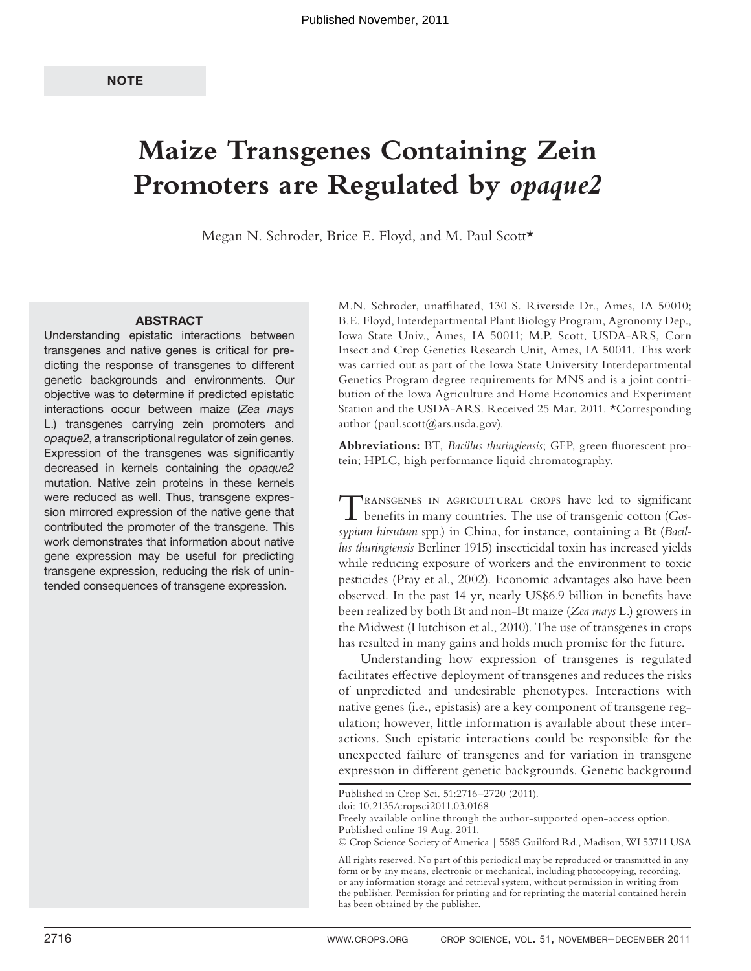# **Maize Transgenes Containing Zein Promoters are Regulated by** *opaque2*

Megan N. Schroder, Brice E. Floyd, and M. Paul Scott\*

### **ABSTRACT**

Understanding epistatic interactions between transgenes and native genes is critical for predicting the response of transgenes to different genetic backgrounds and environments. Our objective was to determine if predicted epistatic interactions occur between maize (Zea mays L.) transgenes carrying zein promoters and opaque2, a transcriptional regulator of zein genes. Expression of the transgenes was significantly decreased in kernels containing the opaque2 mutation. Native zein proteins in these kernels were reduced as well. Thus, transgene expression mirrored expression of the native gene that contributed the promoter of the transgene. This work demonstrates that information about native gene expression may be useful for predicting transgene expression, reducing the risk of unintended consequences of transgene expression.

M.N. Schroder, unaffiliated, 130 S. Riverside Dr., Ames, IA 50010; B.E. Floyd, Interdepartmental Plant Biology Program, Agronomy Dep., Iowa State Univ., Ames, IA 50011; M.P. Scott, USDA-ARS, Corn Insect and Crop Genetics Research Unit, Ames, IA 50011. This work was carried out as part of the Iowa State University Interdepartmental Genetics Program degree requirements for MNS and is a joint contribution of the Iowa Agriculture and Home Economics and Experiment Station and the USDA-ARS. Received 25 Mar. 2011. \*Corresponding author (paul.scott@ars.usda.gov).

Abbreviations: BT, *Bacillus thuringiensis*; GFP, green fluorescent protein; HPLC, high performance liquid chromatography.

TRANSGENES IN AGRICULTURAL CROPS have led to significant benefits in many countries. The use of transgenic cotton (*Gos-*<sup>1</sup>) *sypium hirsutum* spp.) in China, for instance, containing a Bt (*Bacillus thuringiensis* Berliner 1915) insecticidal toxin has increased yields while reducing exposure of workers and the environment to toxic pesticides (Pray et al., 2002). Economic advantages also have been observed. In the past 14 yr, nearly US\$6.9 billion in benefits have been realized by both Bt and non-Bt maize (*Zea mays* L.) growers in the Midwest (Hutchison et al., 2010). The use of transgenes in crops has resulted in many gains and holds much promise for the future.

Understanding how expression of transgenes is regulated facilitates effective deployment of transgenes and reduces the risks of unpredicted and undesirable phenotypes. Interactions with native genes (i.e., epistasis) are a key component of transgene regulation; however, little information is available about these interactions. Such epistatic interactions could be responsible for the unexpected failure of transgenes and for variation in transgene expression in different genetic backgrounds. Genetic background

doi: 10.2135/cropsci2011.03.0168

Published in Crop Sci. 51:2716–2720 (2011).

Freely available online through the author-supported open-access option. Published online 19 Aug. 2011.

<sup>©</sup> Crop Science Society of America | 5585 Guilford Rd., Madison, WI 53711 USA

All rights reserved. No part of this periodical may be reproduced or transmitted in any form or by any means, electronic or mechanical, including photocopying, recording, or any information storage and retrieval system, without permission in writing from the publisher. Permission for printing and for reprinting the material contained herein has been obtained by the publisher.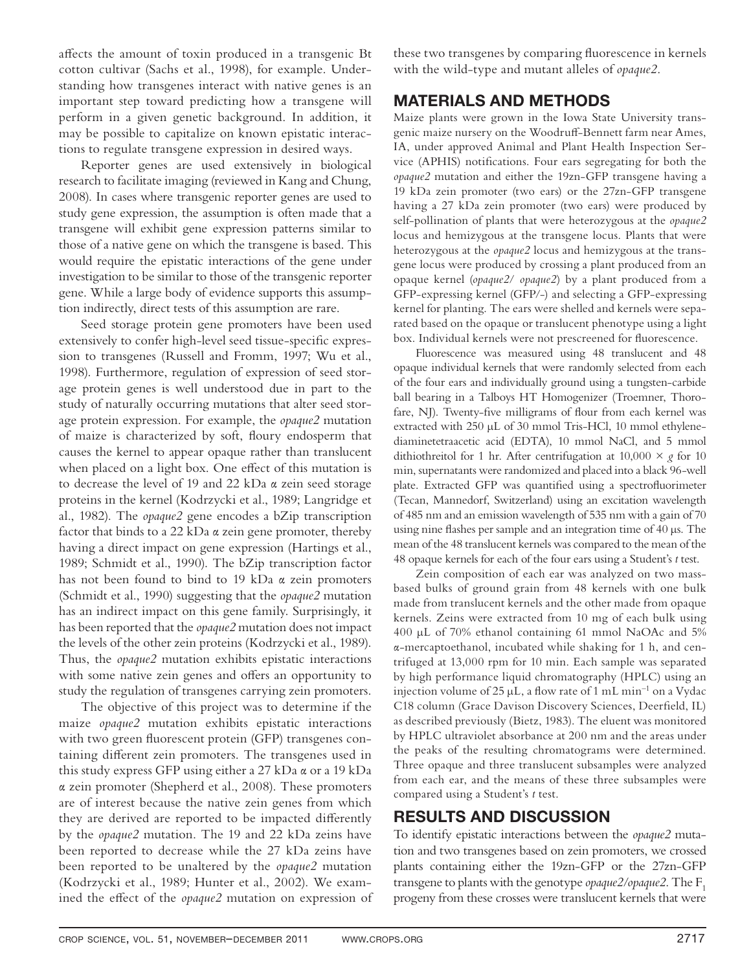affects the amount of toxin produced in a transgenic Bt cotton cultivar (Sachs et al., 1998), for example. Understanding how transgenes interact with native genes is an important step toward predicting how a transgene will perform in a given genetic background. In addition, it may be possible to capitalize on known epistatic interactions to regulate transgene expression in desired ways.

Reporter genes are used extensively in biological research to facilitate imaging (reviewed in Kang and Chung, 2008). In cases where transgenic reporter genes are used to study gene expression, the assumption is often made that a transgene will exhibit gene expression patterns similar to those of a native gene on which the transgene is based. This would require the epistatic interactions of the gene under investigation to be similar to those of the transgenic reporter gene. While a large body of evidence supports this assumption indirectly, direct tests of this assumption are rare.

Seed storage protein gene promoters have been used extensively to confer high-level seed tissue-specific expression to transgenes (Russell and Fromm, 1997; Wu et al., 1998). Furthermore, regulation of expression of seed storage protein genes is well understood due in part to the study of naturally occurring mutations that alter seed storage protein expression. For example, the *opaque2* mutation of maize is characterized by soft, floury endosperm that causes the kernel to appear opaque rather than translucent when placed on a light box. One effect of this mutation is to decrease the level of 19 and 22 kDa α zein seed storage proteins in the kernel (Kodrzycki et al., 1989; Langridge et al., 1982). The *opaque2* gene encodes a bZip transcription factor that binds to a 22 kDa α zein gene promoter, thereby having a direct impact on gene expression (Hartings et al., 1989; Schmidt et al., 1990). The bZip transcription factor has not been found to bind to 19 kDa α zein promoters (Schmidt et al., 1990) suggesting that the *opaque2* mutation has an indirect impact on this gene family. Surprisingly, it has been reported that the *opaque2* mutation does not impact the levels of the other zein proteins (Kodrzycki et al., 1989). Thus, the *opaque2* mutation exhibits epistatic interactions with some native zein genes and offers an opportunity to study the regulation of transgenes carrying zein promoters.

The objective of this project was to determine if the maize *opaque2* mutation exhibits epistatic interactions with two green fluorescent protein (GFP) transgenes containing different zein promoters. The transgenes used in this study express GFP using either a 27 kDa α or a 19 kDa α zein promoter (Shepherd et al., 2008). These promoters are of interest because the native zein genes from which they are derived are reported to be impacted differently by the *opaque2* mutation. The 19 and 22 kDa zeins have been reported to decrease while the 27 kDa zeins have been reported to be unaltered by the *opaque2* mutation (Kodrzycki et al., 1989; Hunter et al., 2002). We examined the effect of the *opaque2* mutation on expression of these two transgenes by comparing fluorescence in kernels with the wild-type and mutant alleles of *opaque2*.

## **MATERIALS AND METHODS**

Maize plants were grown in the Iowa State University transgenic maize nursery on the Woodruff-Bennett farm near Ames, IA, under approved Animal and Plant Health Inspection Service (APHIS) notifications. Four ears segregating for both the *opaque2* mutation and either the 19zn-GFP transgene having a 19 kDa zein promoter (two ears) or the 27zn-GFP transgene having a 27 kDa zein promoter (two ears) were produced by self-pollination of plants that were heterozygous at the *opaque2* locus and hemizygous at the transgene locus. Plants that were heterozygous at the *opaque2* locus and hemizygous at the transgene locus were produced by crossing a plant produced from an opaque kernel (*opaque2*/ *opaque2*) by a plant produced from a GFP-expressing kernel (GFP/-) and selecting a GFP-expressing kernel for planting. The ears were shelled and kernels were separated based on the opaque or translucent phenotype using a light box. Individual kernels were not prescreened for fluorescence.

Fluorescence was measured using 48 translucent and 48 opaque individual kernels that were randomly selected from each of the four ears and individually ground using a tungsten-carbide ball bearing in a Talboys HT Homogenizer (Troemner, Thorofare, NJ). Twenty-five milligrams of flour from each kernel was extracted with 250 μL of 30 mmol Tris-HCl, 10 mmol ethylenediaminetetraacetic acid (EDTA), 10 mmol NaCl, and 5 mmol dithiothreitol for 1 hr. After centrifugation at  $10,000 \times g$  for 10 min, supernatants were randomized and placed into a black 96-well plate. Extracted GFP was quantified using a spectrofluorimeter (Tecan, Mannedorf, Switzerland) using an excitation wavelength of 485 nm and an emission wavelength of 535 nm with a gain of 70 using nine flashes per sample and an integration time of  $40 \mu s$ . The mean of the 48 translucent kernels was compared to the mean of the 48 opaque kernels for each of the four ears using a Student's *t* test.

Zein composition of each ear was analyzed on two massbased bulks of ground grain from 48 kernels with one bulk made from translucent kernels and the other made from opaque kernels. Zeins were extracted from 10 mg of each bulk using 400 μL of 70% ethanol containing 61 mmol NaOAc and 5% α-mercaptoethanol, incubated while shaking for 1 h, and centrifuged at 13,000 rpm for 10 min. Each sample was separated by high performance liquid chromatography (HPLC) using an injection volume of 25  $\mu$ L, a flow rate of 1 mL min<sup>-1</sup> on a Vydac C18 column (Grace Davison Discovery Sciences, Deerfield, IL) as described previously (Bietz, 1983). The eluent was monitored by HPLC ultraviolet absorbance at 200 nm and the areas under the peaks of the resulting chromatograms were determined. Three opaque and three translucent subsamples were analyzed from each ear, and the means of these three subsamples were compared using a Student's *t* test.

## **RESULTS AND DISCUSSION**

To identify epistatic interactions between the *opaque2* mutation and two transgenes based on zein promoters, we crossed plants containing either the 19zn-GFP or the 27zn-GFP transgene to plants with the genotype *opaque2*/*opaque2*. The F1 progeny from these crosses were translucent kernels that were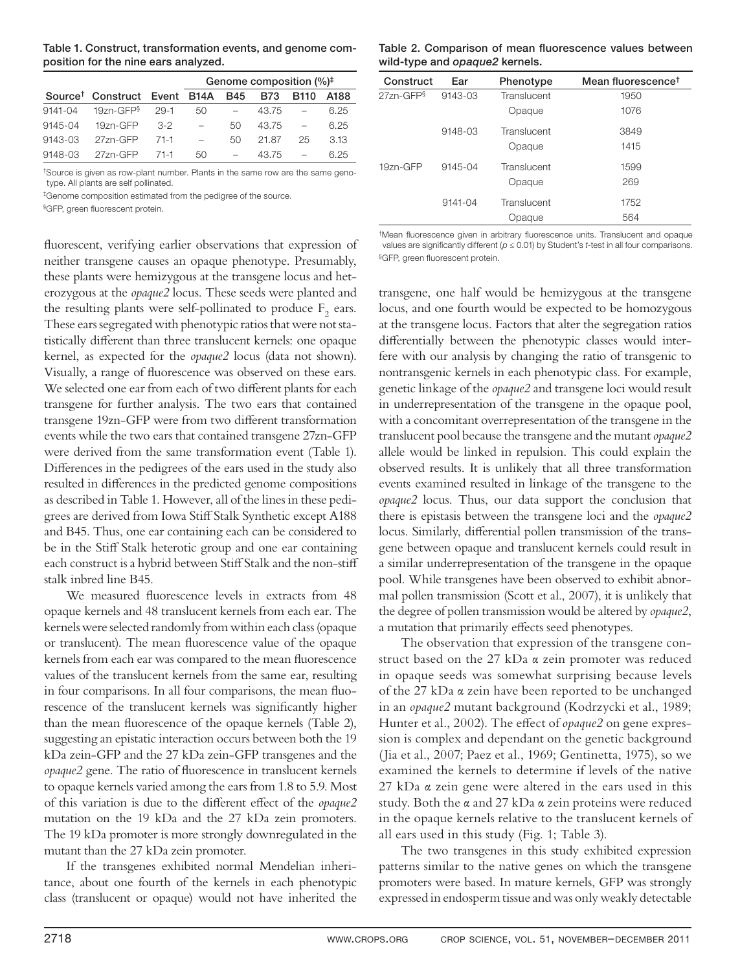| Table 1. Construct, transformation events, and genome com- |  |
|------------------------------------------------------------|--|
| position for the nine ears analyzed.                       |  |

|             |                                          |        | Genome composition $(\%)^{\ddagger}$ |            |            |                          |      |
|-------------|------------------------------------------|--------|--------------------------------------|------------|------------|--------------------------|------|
|             | Source <sup>†</sup> Construct Event B14A |        |                                      | <b>B45</b> | <b>B73</b> | B <sub>110</sub>         | A188 |
| $9141 - 04$ | $19$ zn-GFP $\frac{6}{3}$                | $29-1$ | 50                                   |            | 43.75      |                          | 6.25 |
| 9145-04     | 19zn-GFP                                 | 3-2    |                                      | 50         | 43.75      | $\overline{\phantom{0}}$ | 6.25 |
| 9143-03     | 27zn-GFP                                 | 71-1   |                                      | 50         | 21.87      | 25                       | 3.13 |
| 9148-03     | 27zn-GFP                                 | $71-1$ | 50                                   |            | 43.75      |                          | 6.25 |

†Source is given as row-plant number. Plants in the same row are the same genotype. All plants are self pollinated.

‡Genome composition estimated from the pedigree of the source.

§GFP, green fluorescent protein.

fluorescent, verifying earlier observations that expression of neither transgene causes an opaque phenotype. Presumably, these plants were hemizygous at the transgene locus and heterozygous at the *opaque2* locus. These seeds were planted and the resulting plants were self-pollinated to produce  $F_2$  ears. These ears segregated with phenotypic ratios that were not statistically different than three translucent kernels: one opaque kernel, as expected for the *opaque2* locus (data not shown). Visually, a range of fluorescence was observed on these ears. We selected one ear from each of two different plants for each transgene for further analysis. The two ears that contained transgene 19zn-GFP were from two different transformation events while the two ears that contained transgene 27zn-GFP were derived from the same transformation event (Table 1). Differences in the pedigrees of the ears used in the study also resulted in differences in the predicted genome compositions as described in Table 1. However, all of the lines in these pedigrees are derived from Iowa Stiff Stalk Synthetic except A188 and B45. Thus, one ear containing each can be considered to be in the Stiff Stalk heterotic group and one ear containing each construct is a hybrid between Stiff Stalk and the non-stiff stalk inbred line B45.

We measured fluorescence levels in extracts from 48 opaque kernels and 48 translucent kernels from each ear. The kernels were selected randomly from within each class (opaque or translucent). The mean fluorescence value of the opaque kernels from each ear was compared to the mean fluorescence values of the translucent kernels from the same ear, resulting in four comparisons. In all four comparisons, the mean fluorescence of the translucent kernels was significantly higher than the mean fluorescence of the opaque kernels (Table 2), suggesting an epistatic interaction occurs between both the 19 kDa zein-GFP and the 27 kDa zein-GFP transgenes and the *opaque2* gene. The ratio of fluorescence in translucent kernels to opaque kernels varied among the ears from 1.8 to 5.9. Most of this variation is due to the different effect of the *opaque2* mutation on the 19 kDa and the 27 kDa zein promoters. The 19 kDa promoter is more strongly downregulated in the mutant than the 27 kDa zein promoter.

If the transgenes exhibited normal Mendelian inheritance, about one fourth of the kernels in each phenotypic class (translucent or opaque) would not have inherited the

Table 2. Comparison of mean fluorescence values between **wild-type and** *opaque2* **kernels.**

| Construct | Ear         | Phenotype   | Mean fluorescence <sup>t</sup> |
|-----------|-------------|-------------|--------------------------------|
| 27zn-GFP§ | 9143-03     | Translucent | 1950                           |
|           |             | Opaque      | 1076                           |
|           | 9148-03     | Translucent | 3849                           |
|           |             | Opaque      | 1415                           |
| 19zn-GFP  | 9145-04     | Translucent | 1599                           |
|           |             | Opaque      | 269                            |
|           | $9141 - 04$ | Translucent | 1752                           |
|           |             | Opaque      | 564                            |

<sup>†</sup>Mean fluorescence given in arbitrary fluorescence units. Translucent and opaque values are significantly different ( $p \le 0.01$ ) by Student's t-test in all four comparisons. §GFP, green fluorescent protein.

transgene, one half would be hemizygous at the transgene locus, and one fourth would be expected to be homozygous at the transgene locus. Factors that alter the segregation ratios differentially between the phenotypic classes would interfere with our analysis by changing the ratio of transgenic to nontransgenic kernels in each phenotypic class. For example, genetic linkage of the *opaque2* and transgene loci would result in underrepresentation of the transgene in the opaque pool, with a concomitant overrepresentation of the transgene in the translucent pool because the transgene and the mutant *opaque2* allele would be linked in repulsion. This could explain the observed results. It is unlikely that all three transformation events examined resulted in linkage of the transgene to the *opaque2* locus. Thus, our data support the conclusion that there is epistasis between the transgene loci and the *opaque2* locus. Similarly, differential pollen transmission of the transgene between opaque and translucent kernels could result in a similar underrepresentation of the transgene in the opaque pool. While transgenes have been observed to exhibit abnormal pollen transmission (Scott et al., 2007), it is unlikely that the degree of pollen transmission would be altered by *opaque2*, a mutation that primarily effects seed phenotypes.

The observation that expression of the transgene construct based on the 27 kDa α zein promoter was reduced in opaque seeds was somewhat surprising because levels of the 27 kDa α zein have been reported to be unchanged in an *opaque2* mutant background (Kodrzycki et al., 1989; Hunter et al., 2002). The effect of *opaque2* on gene expression is complex and dependant on the genetic background (Jia et al., 2007; Paez et al., 1969; Gentinetta, 1975), so we examined the kernels to determine if levels of the native 27 kDa α zein gene were altered in the ears used in this study. Both the α and 27 kDa α zein proteins were reduced in the opaque kernels relative to the translucent kernels of all ears used in this study (Fig. 1; Table 3).

The two transgenes in this study exhibited expression patterns similar to the native genes on which the transgene promoters were based. In mature kernels, GFP was strongly expressed in endosperm tissue and was only weakly detectable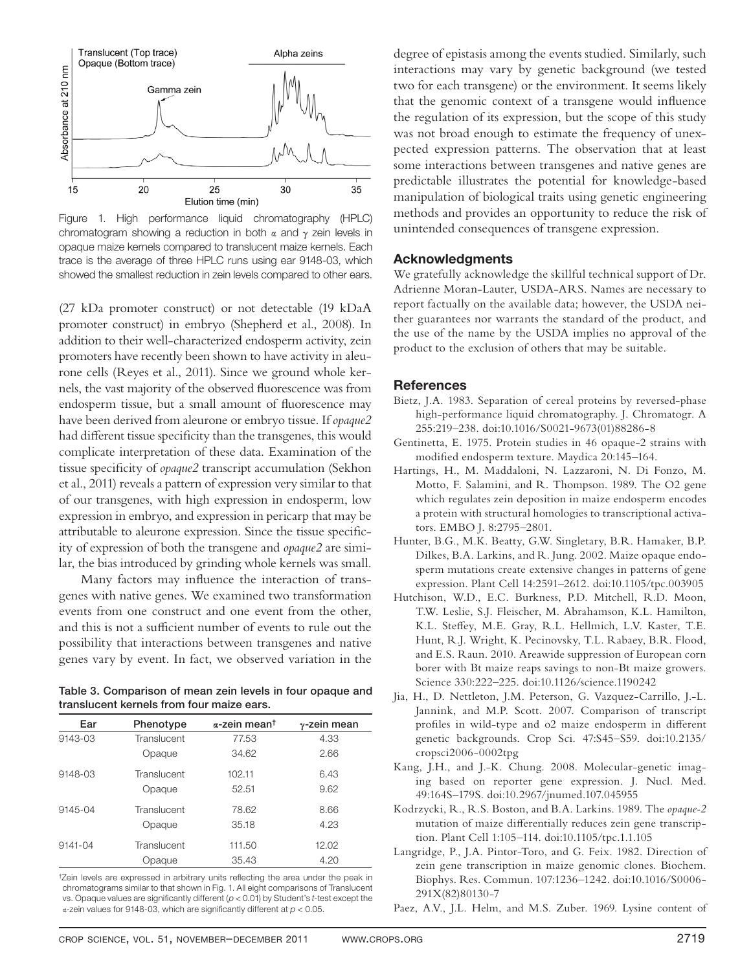

Figure 1. High performance liquid chromatography (HPLC) chromatogram showing a reduction in both  $\alpha$  and  $\gamma$  zein levels in opaque maize kernels compared to translucent maize kernels. Each trace is the average of three HPLC runs using ear 9148-03, which showed the smallest reduction in zein levels compared to other ears.

(27 kDa promoter construct) or not detectable (19 kDaA promoter construct) in embryo (Shepherd et al., 2008). In addition to their well-characterized endosperm activity, zein promoters have recently been shown to have activity in aleurone cells (Reyes et al., 2011). Since we ground whole kernels, the vast majority of the observed fluorescence was from endosperm tissue, but a small amount of fluorescence may have been derived from aleurone or embryo tissue. If *opaque2* had different tissue specificity than the transgenes, this would complicate interpretation of these data. Examination of the tissue specificity of *opaque2* transcript accumulation (Sekhon et al., 2011) reveals a pattern of expression very similar to that of our transgenes, with high expression in endosperm, low expression in embryo, and expression in pericarp that may be attributable to aleurone expression. Since the tissue specificity of expression of both the transgene and *opaque2* are similar, the bias introduced by grinding whole kernels was small.

Many factors may influence the interaction of transgenes with native genes. We examined two transformation events from one construct and one event from the other, and this is not a sufficient number of events to rule out the possibility that interactions between transgenes and native genes vary by event. In fact, we observed variation in the

**Table 3. Comparison of mean zein levels in four opaque and translucent kernels from four maize ears.**

| Ear         | Phenotype   | $\alpha$ -zein mean <sup>t</sup> | $\gamma$ -zein mean |
|-------------|-------------|----------------------------------|---------------------|
| 9143-03     | Translucent | 77.53                            | 4.33                |
|             | Opaque      | 34.62                            | 2.66                |
| 9148-03     | Translucent | 102.11                           | 6.43                |
|             | Opaque      | 52.51                            | 9.62                |
| 9145-04     | Translucent | 78.62                            | 8.66                |
|             | Opaque      | 35.18                            | 4.23                |
| $9141 - 04$ | Translucent | 111.50                           | 12.02               |
|             | Opaque      | 35.43                            | 4.20                |

<sup>†</sup>Zein levels are expressed in arbitrary units reflecting the area under the peak in chromatograms similar to that shown in Fig. 1. All eight comparisons of Translucent vs. Opaque values are significantly different ( $p < 0.01$ ) by Student's t-test except the α-zein values for 9148-03, which are significantly different at  $p < 0.05$ .

degree of epistasis among the events studied. Similarly, such interactions may vary by genetic background (we tested two for each transgene) or the environment. It seems likely that the genomic context of a transgene would influence the regulation of its expression, but the scope of this study was not broad enough to estimate the frequency of unexpected expression patterns. The observation that at least some interactions between transgenes and native genes are predictable illustrates the potential for knowledge-based manipulation of biological traits using genetic engineering methods and provides an opportunity to reduce the risk of unintended consequences of transgene expression.

### **Acknowledgments**

We gratefully acknowledge the skillful technical support of Dr. Adrienne Moran-Lauter, USDA-ARS. Names are necessary to report factually on the available data; however, the USDA neither guarantees nor warrants the standard of the product, and the use of the name by the USDA implies no approval of the product to the exclusion of others that may be suitable.

#### **References**

- Bietz, J.A. 1983. Separation of cereal proteins by reversed-phase high-performance liquid chromatography. J. Chromatogr. A 255:219–238. doi:10.1016/S0021-9673(01)88286-8
- Gentinetta, E. 1975. Protein studies in 46 opaque-2 strains with modified endosperm texture. Maydica 20:145-164.
- Hartings, H., M. Maddaloni, N. Lazzaroni, N. Di Fonzo, M. Motto, F. Salamini, and R. Thompson. 1989. The O2 gene which regulates zein deposition in maize endosperm encodes a protein with structural homologies to transcriptional activators. EMBO J. 8:2795–2801.
- Hunter, B.G., M.K. Beatty, G.W. Singletary, B.R. Hamaker, B.P. Dilkes, B.A. Larkins, and R. Jung. 2002. Maize opaque endosperm mutations create extensive changes in patterns of gene expression. Plant Cell 14:2591–2612. doi:10.1105/tpc.003905
- Hutchison, W.D., E.C. Burkness, P.D. Mitchell, R.D. Moon, T.W. Leslie, S.J. Fleischer, M. Abrahamson, K.L. Hamilton, K.L. Steffey, M.E. Gray, R.L. Hellmich, L.V. Kaster, T.E. Hunt, R.J. Wright, K. Pecinovsky, T.L. Rabaey, B.R. Flood, and E.S. Raun. 2010. Areawide suppression of European corn borer with Bt maize reaps savings to non-Bt maize growers. Science 330:222–225. doi:10.1126/science.1190242
- Jia, H., D. Nettleton, J.M. Peterson, G. Vazquez-Carrillo, J.-L. Jannink, and M.P. Scott. 2007. Comparison of transcript profiles in wild-type and o2 maize endosperm in different genetic backgrounds. Crop Sci. 47:S45–S59. doi:10.2135/ cropsci2006-0002tpg
- Kang, J.H., and J.-K. Chung. 2008. Molecular-genetic imaging based on reporter gene expression. J. Nucl. Med. 49:164S–179S. doi:10.2967/jnumed.107.045955
- Kodrzycki, R., R.S. Boston, and B.A. Larkins. 1989. The *opaque-2* mutation of maize differentially reduces zein gene transcription. Plant Cell 1:105–114. doi:10.1105/tpc.1.1.105
- Langridge, P., J.A. Pintor-Toro, and G. Feix. 1982. Direction of zein gene transcription in maize genomic clones. Biochem. Biophys. Res. Commun. 107:1236–1242. doi:10.1016/S0006- 291X(82)80130-7

Paez, A.V., J.L. Helm, and M.S. Zuber. 1969. Lysine content of